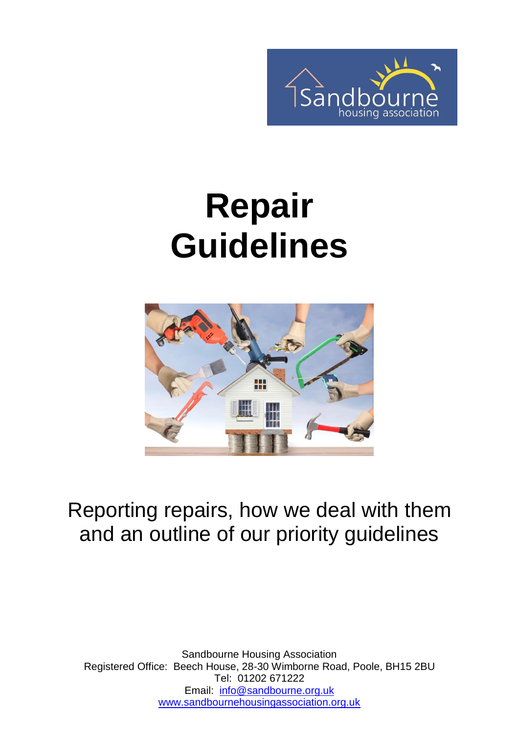

# **Repair Guidelines**



### Reporting repairs, how we deal with them and an outline of our priority guidelines

Sandbourne Housing Association Registered Office: Beech House, 28-30 Wimborne Road, Poole, BH15 2BU Tel: 01202 671222 Email: [info@sandbourne.org.uk](mailto:info@sandbourne.org.uk) [www.sandbournehousingassociation.org.uk](http://www.sandbournehousingassociation.org.uk/)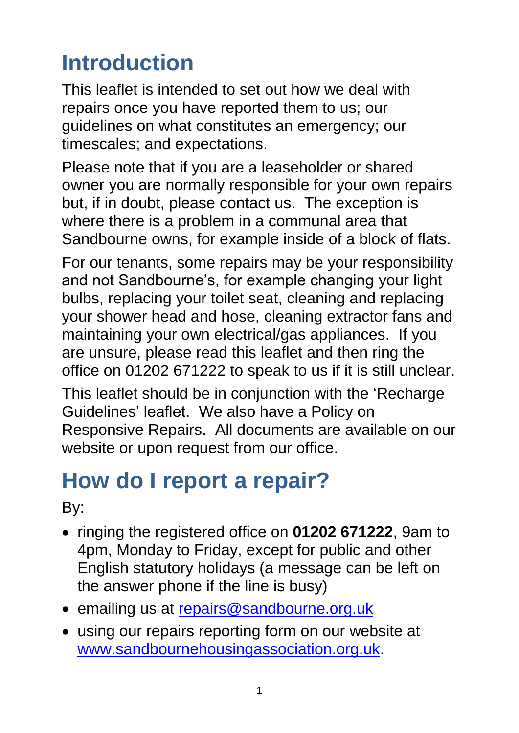# **Introduction**

This leaflet is intended to set out how we deal with repairs once you have reported them to us; our guidelines on what constitutes an emergency; our timescales; and expectations.

Please note that if you are a leaseholder or shared owner you are normally responsible for your own repairs but, if in doubt, please contact us. The exception is where there is a problem in a communal area that Sandbourne owns, for example inside of a block of flats.

For our tenants, some repairs may be your responsibility and not Sandbourne's, for example changing your light bulbs, replacing your toilet seat, cleaning and replacing your shower head and hose, cleaning extractor fans and maintaining your own electrical/gas appliances. If you are unsure, please read this leaflet and then ring the office on 01202 671222 to speak to us if it is still unclear.

This leaflet should be in conjunction with the 'Recharge Guidelines' leaflet. We also have a Policy on Responsive Repairs. All documents are available on our website or upon request from our office.

# **How do I report a repair?**

By:

- ringing the registered office on **01202 671222**, 9am to 4pm, Monday to Friday, except for public and other English statutory holidays (a message can be left on the answer phone if the line is busy)
- emailing us at [repairs@sandbourne.org.uk](mailto:repairs@sandbourne.org.uk)
- using our repairs reporting form on our website at [www.sandbournehousingassociation.org.uk.](http://www.sandbournehousingassociation.org.uk/)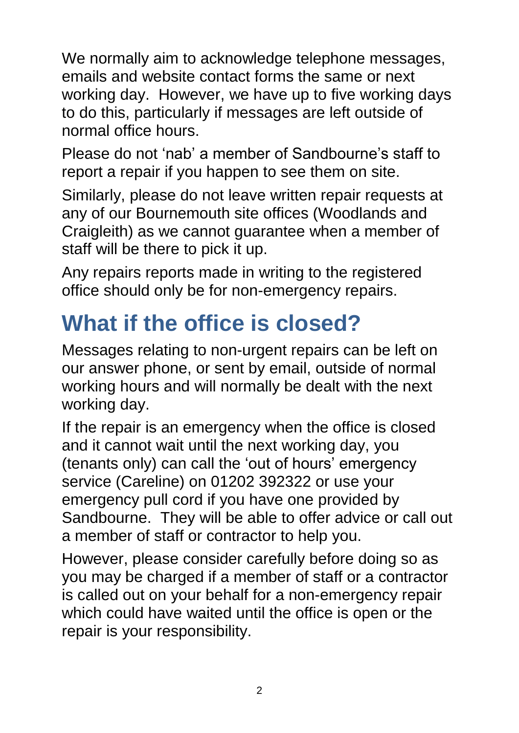We normally aim to acknowledge telephone messages, emails and website contact forms the same or next working day. However, we have up to five working days to do this, particularly if messages are left outside of normal office hours.

Please do not 'nab' a member of Sandbourne's staff to report a repair if you happen to see them on site.

Similarly, please do not leave written repair requests at any of our Bournemouth site offices (Woodlands and Craigleith) as we cannot guarantee when a member of staff will be there to pick it up.

Any repairs reports made in writing to the registered office should only be for non-emergency repairs.

### **What if the office is closed?**

Messages relating to non-urgent repairs can be left on our answer phone, or sent by email, outside of normal working hours and will normally be dealt with the next working day.

If the repair is an emergency when the office is closed and it cannot wait until the next working day, you (tenants only) can call the 'out of hours' emergency service (Careline) on 01202 392322 or use your emergency pull cord if you have one provided by Sandbourne. They will be able to offer advice or call out a member of staff or contractor to help you.

However, please consider carefully before doing so as you may be charged if a member of staff or a contractor is called out on your behalf for a non-emergency repair which could have waited until the office is open or the repair is your responsibility.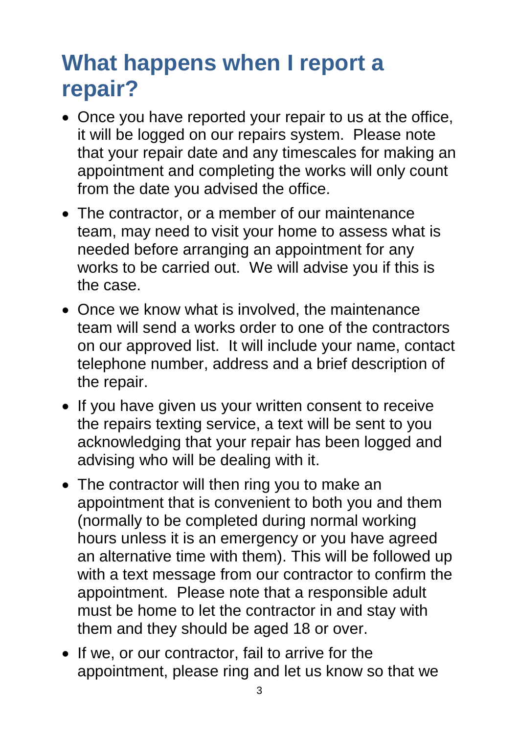### **What happens when I report a repair?**

- Once you have reported your repair to us at the office, it will be logged on our repairs system. Please note that your repair date and any timescales for making an appointment and completing the works will only count from the date you advised the office.
- The contractor, or a member of our maintenance team, may need to visit your home to assess what is needed before arranging an appointment for any works to be carried out. We will advise you if this is the case.
- Once we know what is involved, the maintenance team will send a works order to one of the contractors on our approved list. It will include your name, contact telephone number, address and a brief description of the repair.
- If you have given us your written consent to receive the repairs texting service, a text will be sent to you acknowledging that your repair has been logged and advising who will be dealing with it.
- The contractor will then ring you to make an appointment that is convenient to both you and them (normally to be completed during normal working hours unless it is an emergency or you have agreed an alternative time with them). This will be followed up with a text message from our contractor to confirm the appointment. Please note that a responsible adult must be home to let the contractor in and stay with them and they should be aged 18 or over.
- If we, or our contractor, fail to arrive for the appointment, please ring and let us know so that we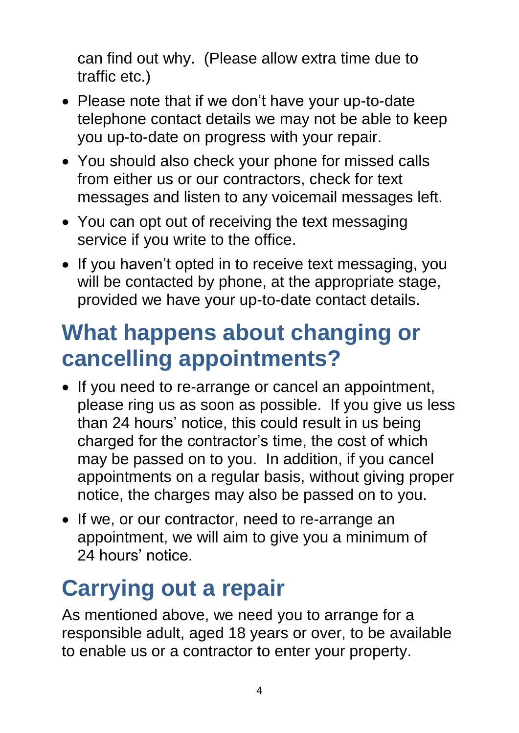can find out why. (Please allow extra time due to traffic etc.)

- Please note that if we don't have your up-to-date telephone contact details we may not be able to keep you up-to-date on progress with your repair.
- You should also check your phone for missed calls from either us or our contractors, check for text messages and listen to any voicemail messages left.
- You can opt out of receiving the text messaging service if you write to the office.
- If you haven't opted in to receive text messaging, you will be contacted by phone, at the appropriate stage, provided we have your up-to-date contact details.

### **What happens about changing or cancelling appointments?**

- If you need to re-arrange or cancel an appointment, please ring us as soon as possible. If you give us less than 24 hours' notice, this could result in us being charged for the contractor's time, the cost of which may be passed on to you. In addition, if you cancel appointments on a regular basis, without giving proper notice, the charges may also be passed on to you.
- If we, or our contractor, need to re-arrange an appointment, we will aim to give you a minimum of 24 hours' notice.

# **Carrying out a repair**

As mentioned above, we need you to arrange for a responsible adult, aged 18 years or over, to be available to enable us or a contractor to enter your property.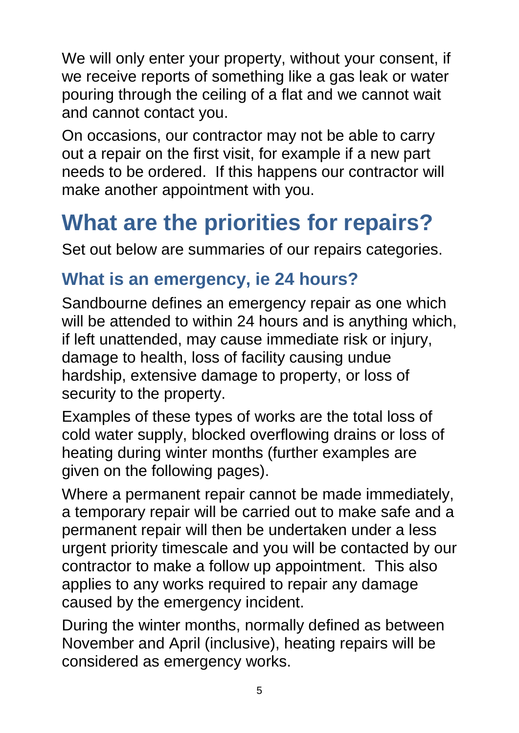We will only enter your property, without your consent, if we receive reports of something like a gas leak or water pouring through the ceiling of a flat and we cannot wait and cannot contact you.

On occasions, our contractor may not be able to carry out a repair on the first visit, for example if a new part needs to be ordered. If this happens our contractor will make another appointment with you.

# **What are the priorities for repairs?**

Set out below are summaries of our repairs categories.

#### **What is an emergency, ie 24 hours?**

Sandbourne defines an emergency repair as one which will be attended to within 24 hours and is anything which, if left unattended, may cause immediate risk or injury, damage to health, loss of facility causing undue hardship, extensive damage to property, or loss of security to the property.

Examples of these types of works are the total loss of cold water supply, blocked overflowing drains or loss of heating during winter months (further examples are given on the following pages).

Where a permanent repair cannot be made immediately, a temporary repair will be carried out to make safe and a permanent repair will then be undertaken under a less urgent priority timescale and you will be contacted by our contractor to make a follow up appointment. This also applies to any works required to repair any damage caused by the emergency incident.

During the winter months, normally defined as between November and April (inclusive), heating repairs will be considered as emergency works.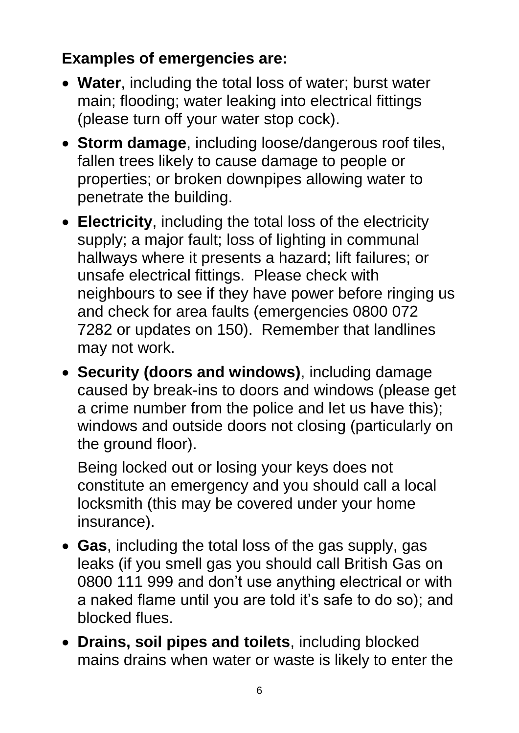#### **Examples of emergencies are:**

- **Water**, including the total loss of water; burst water main; flooding; water leaking into electrical fittings (please turn off your water stop cock).
- **Storm damage**, including loose/dangerous roof tiles, fallen trees likely to cause damage to people or properties; or broken downpipes allowing water to penetrate the building.
- **Electricity**, including the total loss of the electricity supply; a major fault; loss of lighting in communal hallways where it presents a hazard; lift failures; or unsafe electrical fittings. Please check with neighbours to see if they have power before ringing us and check for area faults (emergencies 0800 072 7282 or updates on 150). Remember that landlines may not work.
- **Security (doors and windows)**, including damage caused by break-ins to doors and windows (please get a crime number from the police and let us have this); windows and outside doors not closing (particularly on the ground floor).

Being locked out or losing your keys does not constitute an emergency and you should call a local locksmith (this may be covered under your home insurance).

- **Gas**, including the total loss of the gas supply, gas leaks (if you smell gas you should call British Gas on 0800 111 999 and don't use anything electrical or with a naked flame until you are told it's safe to do so); and blocked flues.
- **Drains, soil pipes and toilets**, including blocked mains drains when water or waste is likely to enter the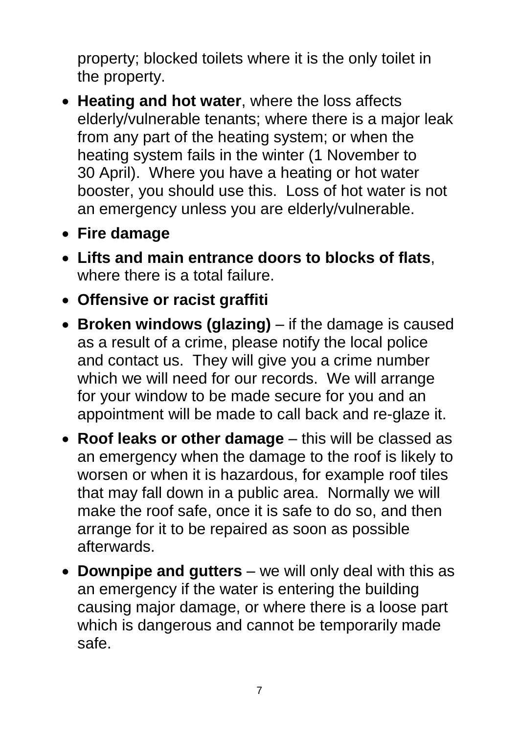property; blocked toilets where it is the only toilet in the property.

- **Heating and hot water**, where the loss affects elderly/vulnerable tenants; where there is a major leak from any part of the heating system; or when the heating system fails in the winter (1 November to 30 April). Where you have a heating or hot water booster, you should use this. Loss of hot water is not an emergency unless you are elderly/vulnerable.
- **Fire damage**
- **Lifts and main entrance doors to blocks of flats**, where there is a total failure.
- **Offensive or racist graffiti**
- **Broken windows (glazing)** if the damage is caused as a result of a crime, please notify the local police and contact us. They will give you a crime number which we will need for our records. We will arrange for your window to be made secure for you and an appointment will be made to call back and re-glaze it.
- **Roof leaks or other damage** this will be classed as an emergency when the damage to the roof is likely to worsen or when it is hazardous, for example roof tiles that may fall down in a public area. Normally we will make the roof safe, once it is safe to do so, and then arrange for it to be repaired as soon as possible afterwards.
- **Downpipe and gutters** we will only deal with this as an emergency if the water is entering the building causing major damage, or where there is a loose part which is dangerous and cannot be temporarily made safe.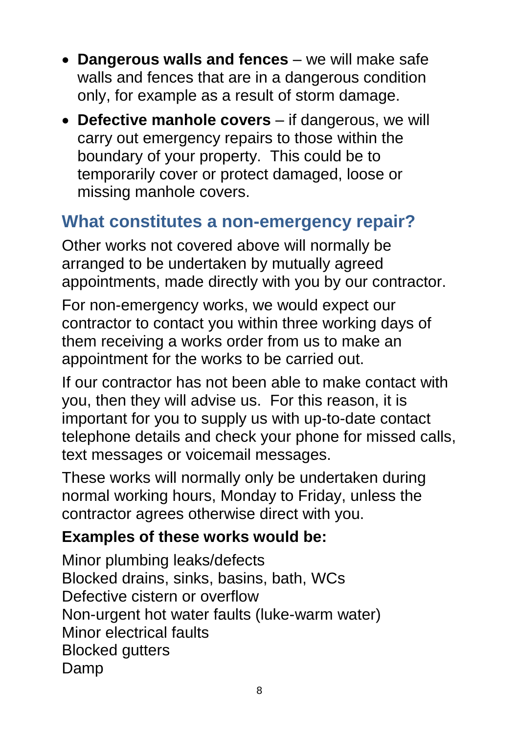- **Dangerous walls and fences**  we will make safe walls and fences that are in a dangerous condition only, for example as a result of storm damage.
- **Defective manhole covers** if dangerous, we will carry out emergency repairs to those within the boundary of your property. This could be to temporarily cover or protect damaged, loose or missing manhole covers.

#### **What constitutes a non-emergency repair?**

Other works not covered above will normally be arranged to be undertaken by mutually agreed appointments, made directly with you by our contractor.

For non-emergency works, we would expect our contractor to contact you within three working days of them receiving a works order from us to make an appointment for the works to be carried out.

If our contractor has not been able to make contact with you, then they will advise us. For this reason, it is important for you to supply us with up-to-date contact telephone details and check your phone for missed calls, text messages or voicemail messages.

These works will normally only be undertaken during normal working hours, Monday to Friday, unless the contractor agrees otherwise direct with you.

#### **Examples of these works would be:**

Minor plumbing leaks/defects Blocked drains, sinks, basins, bath, WCs Defective cistern or overflow Non-urgent hot water faults (luke-warm water) Minor electrical faults Blocked gutters Damp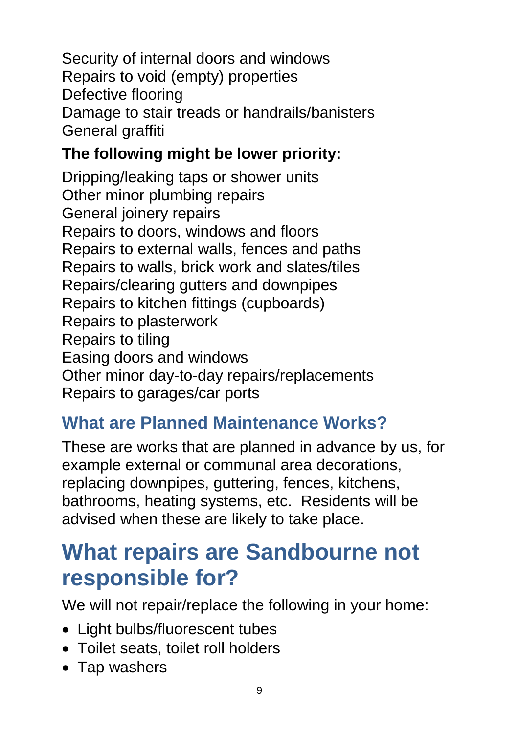Security of internal doors and windows Repairs to void (empty) properties Defective flooring Damage to stair treads or handrails/banisters General graffiti

#### **The following might be lower priority:**

Dripping/leaking taps or shower units Other minor plumbing repairs General joinery repairs Repairs to doors, windows and floors Repairs to external walls, fences and paths Repairs to walls, brick work and slates/tiles Repairs/clearing gutters and downpipes Repairs to kitchen fittings (cupboards) Repairs to plasterwork Repairs to tiling Easing doors and windows Other minor day-to-day repairs/replacements Repairs to garages/car ports

#### **What are Planned Maintenance Works?**

These are works that are planned in advance by us, for example external or communal area decorations, replacing downpipes, guttering, fences, kitchens, bathrooms, heating systems, etc. Residents will be advised when these are likely to take place.

### **What repairs are Sandbourne not responsible for?**

We will not repair/replace the following in your home:

- Light bulbs/fluorescent tubes
- Toilet seats, toilet roll holders
- Tap washers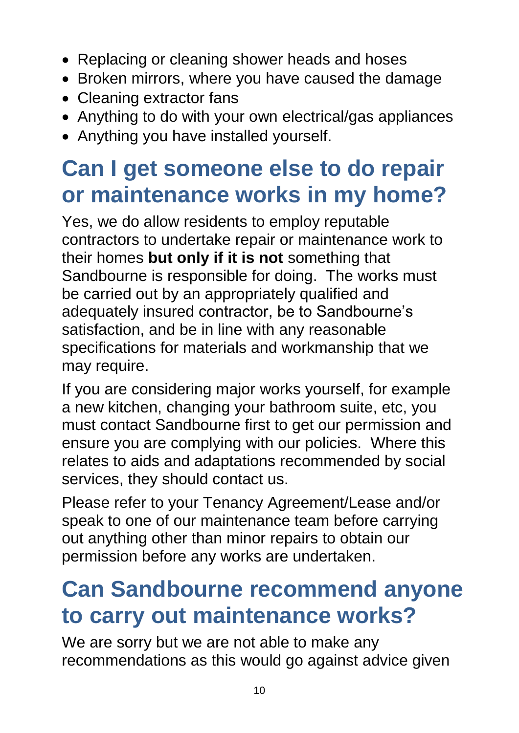- Replacing or cleaning shower heads and hoses
- Broken mirrors, where you have caused the damage
- Cleaning extractor fans
- Anything to do with your own electrical/gas appliances
- Anything you have installed yourself.

### **Can I get someone else to do repair or maintenance works in my home?**

Yes, we do allow residents to employ reputable contractors to undertake repair or maintenance work to their homes **but only if it is not** something that Sandbourne is responsible for doing. The works must be carried out by an appropriately qualified and adequately insured contractor, be to Sandbourne's satisfaction, and be in line with any reasonable specifications for materials and workmanship that we may require.

If you are considering major works yourself, for example a new kitchen, changing your bathroom suite, etc, you must contact Sandbourne first to get our permission and ensure you are complying with our policies. Where this relates to aids and adaptations recommended by social services, they should contact us.

Please refer to your Tenancy Agreement/Lease and/or speak to one of our maintenance team before carrying out anything other than minor repairs to obtain our permission before any works are undertaken.

### **Can Sandbourne recommend anyone to carry out maintenance works?**

We are sorry but we are not able to make any recommendations as this would go against advice given